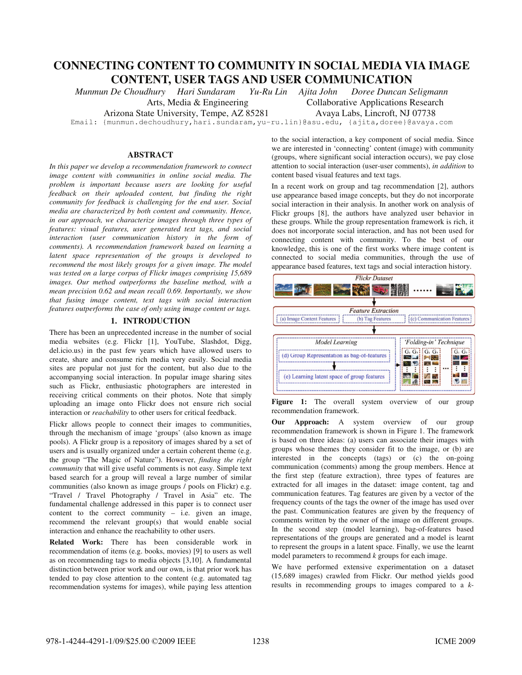# **CONNECTING CONTENT TO COMMUNITY IN SOCIAL MEDIA VIA IMAGE CONTENT, USER TAGS AND USER COMMUNICATION**

*Munmun De Choudhury Hari Sundaram Yu-Ru Lin Ajita John Doree Duncan Seligmann* 

Arts, Media & Engineering Collaborative Applications Research

Arizona State University, Tempe, AZ 85281 Avaya Labs, Lincroft, NJ 07738

Email: {munmun.dechoudhury,hari.sundaram,yu-ru.lin}@asu.edu, {ajita,doree}@avaya.com

## **ABSTRACT**

*In this paper we develop a recommendation framework to connect image content with communities in online social media. The problem is important because users are looking for useful feedback on their uploaded content, but finding the right community for feedback is challenging for the end user. Social media are characterized by both content and community. Hence, in our approach, we characterize images through three types of features: visual features, user generated text tags, and social interaction (user communication history in the form of comments). A recommendation framework based on learning a latent space representation of the groups is developed to recommend the most likely groups for a given image. The model was tested on a large corpus of Flickr images comprising 15,689 images. Our method outperforms the baseline method, with a mean precision 0.62 and mean recall 0.69. Importantly, we show that fusing image content, text tags with social interaction features outperforms the case of only using image content or tags.* 

# **1. INTRODUCTION**

There has been an unprecedented increase in the number of social media websites (e.g. Flickr [1], YouTube, Slashdot, Digg, del.icio.us) in the past few years which have allowed users to create, share and consume rich media very easily. Social media sites are popular not just for the content, but also due to the accompanying social interaction. In popular image sharing sites such as Flickr, enthusiastic photographers are interested in receiving critical comments on their photos. Note that simply uploading an image onto Flickr does not ensure rich social interaction or *reachability* to other users for critical feedback.

Flickr allows people to connect their images to communities, through the mechanism of image 'groups' (also known as image pools). A Flickr group is a repository of images shared by a set of users and is usually organized under a certain coherent theme (e.g. the group "The Magic of Nature"). However, *finding the right community* that will give useful comments is not easy. Simple text based search for a group will reveal a large number of similar communities (also known as image groups / pools on Flickr) e.g. "Travel / Travel Photography / Travel in Asia" etc. The fundamental challenge addressed in this paper is to connect user content to the correct community – i.e. given an image, recommend the relevant group(s) that would enable social interaction and enhance the reachability to other users.

**Related Work:** There has been considerable work in recommendation of items (e.g. books, movies) [9] to users as well as on recommending tags to media objects [3,10]. A fundamental distinction between prior work and our own, is that prior work has tended to pay close attention to the content (e.g. automated tag recommendation systems for images), while paying less attention to the social interaction, a key component of social media. Since we are interested in 'connecting' content (image) with community (groups, where significant social interaction occurs), we pay close attention to social interaction (user-user comments), *in addition* to content based visual features and text tags.

In a recent work on group and tag recommendation [2], authors use appearance based image concepts, but they do not incorporate social interaction in their analysis. In another work on analysis of Flickr groups [8], the authors have analyzed user behavior in these groups. While the group representation framework is rich, it does not incorporate social interaction, and has not been used for connecting content with community. To the best of our knowledge, this is one of the first works where image content is connected to social media communities, through the use of appearance based features, text tags and social interaction history.



Figure 1: The overall system overview of our group recommendation framework.

**Our Approach:** A system overview of our group recommendation framework is shown in Figure 1. The framework is based on three ideas: (a) users can associate their images with groups whose themes they consider fit to the image, or (b) are interested in the concepts (tags) or (c) the on-going communication (comments) among the group members. Hence at the first step (feature extraction), three types of features are extracted for all images in the dataset: image content, tag and communication features. Tag features are given by a vector of the frequency counts of the tags the owner of the image has used over the past. Communication features are given by the frequency of comments written by the owner of the image on different groups. In the second step (model learning), bag-of-features based representations of the groups are generated and a model is learnt to represent the groups in a latent space. Finally, we use the learnt model parameters to recommend *k* groups for each image.

We have performed extensive experimentation on a dataset (15,689 images) crawled from Flickr. Our method yields good results in recommending groups to images compared to a *k*-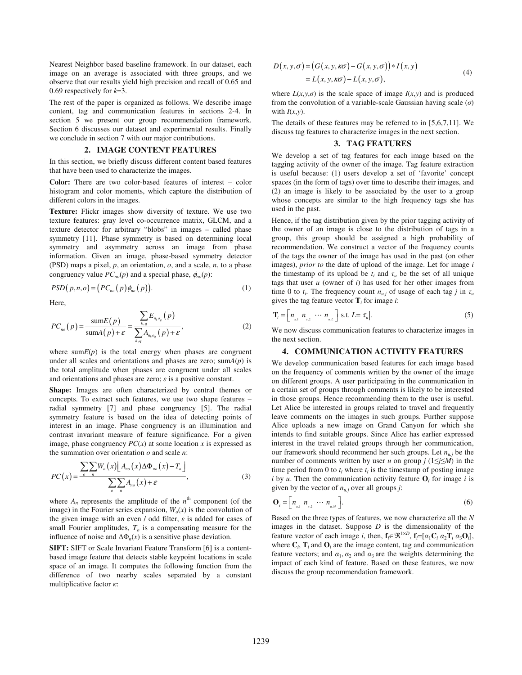Nearest Neighbor based baseline framework. In our dataset, each image on an average is associated with three groups, and we observe that our results yield high precision and recall of 0.65 and 0.69 respectively for *k*=3.

The rest of the paper is organized as follows. We describe image content, tag and communication features in sections 2-4. In section 5 we present our group recommendation framework. Section 6 discusses our dataset and experimental results. Finally we conclude in section 7 with our major contributions.

#### **2. IMAGE CONTENT FEATURES**

In this section, we briefly discuss different content based features that have been used to characterize the images.

**Color:** There are two color-based features of interest – color histogram and color moments, which capture the distribution of different colors in the images.

**Texture:** Flickr images show diversity of texture. We use two texture features: gray level co-occurrence matrix, GLCM, and a texture detector for arbitrary "blobs" in images – called phase symmetry [11]. Phase symmetry is based on determining local symmetry and asymmetry across an image from phase information. Given an image, phase-based symmetry detector (PSD) maps a pixel, *p*, an orientation, *o*, and a scale, *n*, to a phase congruency value  $PC_{no}(p)$  and a special phase,  $\phi_{no}(p)$ :

$$
PSD(p,n,o) = (PC_{n o}(p)\phi_{n o}(p)). \tag{1}
$$

Here,

$$
PC_{n\sigma}(p) = \frac{\text{sum}(p)}{\text{sum}A(p) + \varepsilon} = \frac{\sum_{k,q} E_{n_k o_q}(p)}{\sum_{k,q} A_{n_k o_q}(p) + \varepsilon},\tag{2}
$$

where  $sumE(p)$  is the total energy when phases are congruent under all scales and orientations and phases are zero; sum $A(p)$  is the total amplitude when phases are congruent under all scales and orientations and phases are zero;  $\varepsilon$  is a positive constant.

**Shape:** Images are often characterized by central themes or concepts. To extract such features, we use two shape features – radial symmetry [7] and phase congruency [5]. The radial symmetry feature is based on the idea of detecting points of interest in an image. Phase congruency is an illumination and contrast invariant measure of feature significance. For a given image, phase congruency  $PC(x)$  at some location x is expressed as the summation over orientation *o* and scale *n*:

$$
PC(x) = \frac{\sum_{o} \sum_{n} W_o(x) \left[ A_{no}(x) \Delta \Phi_{no}(x) - T_o \right]}{\sum_{o} \sum_{n} A_{no}(x) + \varepsilon},
$$
\n(3)

where  $A_n$  represents the amplitude of the  $n^{\text{th}}$  component (of the image) in the Fourier series expansion,  $W_o(x)$  is the convolution of the given image with an even / odd filter,  $\varepsilon$  is added for cases of small Fourier amplitudes,  $T<sub>o</sub>$  is a compensating measure for the influence of noise and  $\Delta \Phi_n(x)$  is a sensitive phase deviation.

**SIFT:** SIFT or Scale Invariant Feature Transform [6] is a contentbased image feature that detects stable keypoint locations in scale space of an image. It computes the following function from the difference of two nearby scales separated by a constant multiplicative factor  $\kappa$ :

$$
D(x, y, \sigma) = (G(x, y, \kappa\sigma) - G(x, y, \sigma)) * I(x, y)
$$
  
=  $L(x, y, \kappa\sigma) - L(x, y, \sigma),$  (4)

where  $L(x, y, \sigma)$  is the scale space of image  $I(x, y)$  and is produced from the convolution of a variable-scale Gaussian having scale  $(\sigma)$ with  $I(x,y)$ .

The details of these features may be referred to in [5,6,7,11]. We discuss tag features to characterize images in the next section.

#### **3. TAG FEATURES**

We develop a set of tag features for each image based on the tagging activity of the owner of the image. Tag feature extraction is useful because: (1) users develop a set of 'favorite' concept spaces (in the form of tags) over time to describe their images, and (2) an image is likely to be associated by the user to a group whose concepts are similar to the high frequency tags she has used in the past.

Hence, if the tag distribution given by the prior tagging activity of the owner of an image is close to the distribution of tags in a group, this group should be assigned a high probability of recommendation. We construct a vector of the frequency counts of the tags the owner of the image has used in the past (on other images), *prior to* the date of upload of the image. Let for image *i* the timestamp of its upload be  $t_i$  and  $\tau_u$  be the set of all unique tags that user *u* (owner of *i*) has used for her other images from time 0 to  $t_i$ . The frequency count  $n_{u,i}$  of usage of each tag *j* in  $\tau_u$ gives the tag feature vector  $\mathbf{T}_i$  for image *i*:

$$
\mathbf{T}_{i} = \begin{bmatrix} n_{u,1} & n_{u,2} & \cdots & n_{u,L} \end{bmatrix} \text{ s.t. } L = |\tau_{u}|.
$$
 (5)

We now discuss communication features to characterize images in the next section.

# **4. COMMUNICATION ACTIVITY FEATURES**

We develop communication based features for each image based on the frequency of comments written by the owner of the image on different groups. A user participating in the communication in a certain set of groups through comments is likely to be interested in those groups. Hence recommending them to the user is useful. Let Alice be interested in groups related to travel and frequently leave comments on the images in such groups. Further suppose Alice uploads a new image on Grand Canyon for which she intends to find suitable groups. Since Alice has earlier expressed interest in the travel related groups through her communication, our framework should recommend her such groups. Let  $n_{ui}$  be the number of comments written by user *u* on group *j* ( $1 \le j \le M$ ) in the time period from 0 to  $t_i$  where  $t_i$  is the timestamp of posting image *i* by *u*. Then the communication activity feature  $O_i$  for image *i* is given by the vector of  $n_{u,i}$  over all groups *j*:

$$
\mathbf{O}_i = \left[ n_{\scriptscriptstyle u,1} \ n_{\scriptscriptstyle u,2} \ \cdots \ n_{\scriptscriptstyle u,M} \right]. \tag{6}
$$

Based on the three types of features, we now characterize all the *N* images in the dataset. Suppose *D* is the dimensionality of the feature vector of each image *i*, then,  $\mathbf{f}_i \in \mathbb{R}^{1 \times D}$ ,  $\mathbf{f}_i = [\alpha_1 \mathbf{C}_i \ \alpha_2 \mathbf{T}_i \ \alpha_3 \mathbf{O}_i]$ , where  $C_i$ ,  $T_i$  and  $O_i$  are the image content, tag and communication feature vectors; and  $\alpha_1, \alpha_2$  and  $\alpha_3$  are the weights determining the impact of each kind of feature. Based on these features, we now discuss the group recommendation framework.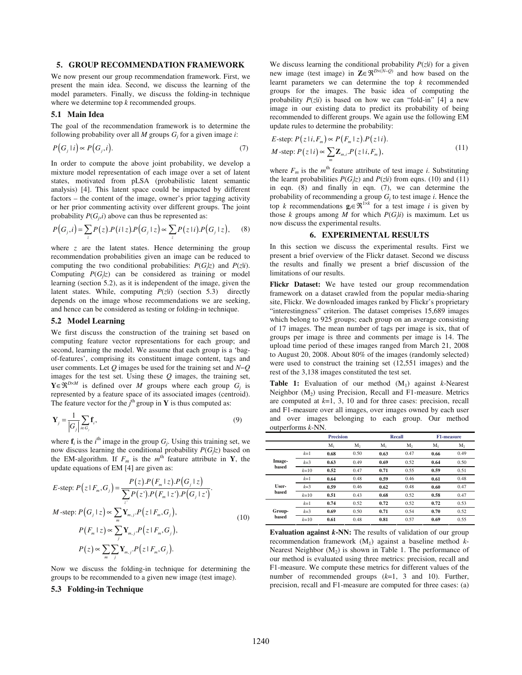## **5. GROUP RECOMMENDATION FRAMEWORK**

We now present our group recommendation framework. First, we present the main idea. Second, we discuss the learning of the model parameters. Finally, we discuss the folding-in technique where we determine top *k* recommended groups.

#### **5.1 Main Idea**

The goal of the recommendation framework is to determine the following probability over all  $M$  groups  $G_i$  for a given image  $i$ :

$$
P(G_j | i) \propto P(G_j, i). \tag{7}
$$

In order to compute the above joint probability, we develop a mixture model representation of each image over a set of latent states, motivated from pLSA (probabilistic latent semantic analysis) [4]. This latent space could be impacted by different factors – the content of the image, owner's prior tagging activity or her prior commenting activity over different groups. The joint probability  $P(G_i, i)$  above can thus be represented as:

$$
P\big(G_j, i\big) = \sum_z P(z) \cdot P\big(i \mid z\big) \cdot P\big(G_j \mid z\big) \propto \sum_z P\big(z \mid i\big) \cdot P\big(G_j \mid z\big),\qquad(8)
$$

where *z* are the latent states. Hence determining the group recommendation probabilities given an image can be reduced to computing the two conditional probabilities:  $P(G_i|z)$  and  $P(z|i)$ . Computing  $P(G_i|z)$  can be considered as training or model learning (section 5.2), as it is independent of the image, given the latent states. While, computing  $P(z|i)$  (section 5.3) directly depends on the image whose recommendations we are seeking, and hence can be considered as testing or folding-in technique.

#### **5.2 Model Learning**

We first discuss the construction of the training set based on computing feature vector representations for each group; and second, learning the model. We assume that each group is a 'bagof-features', comprising its constituent image content, tags and user comments. Let *Q* images be used for the training set and *N*−*Q* images for the test set. Using these *Q* images, the training set, **Y**∈ $\Re^{D\times M}$  is defined over *M* groups where each group *G<sub>j</sub>* is represented by a feature space of its associated images (centroid). The feature vector for the  $j^{\text{th}}$  group in **Y** is thus computed as:

$$
\mathbf{Y}_{j} = \frac{1}{|G_{j}|} \sum_{i \in G_{j}} \mathbf{f}_{i},\tag{9}
$$

where  $f_i$  is the *i*<sup>th</sup> image in the group  $G_j$ . Using this training set, we now discuss learning the conditional probability  $P(G_i|z)$  based on the EM-algorithm. If  $F_m$  is the  $m^{\text{th}}$  feature attribute in **Y**, the update equations of EM [4] are given as:

$$
E\text{-step: } P(z \mid F_m, G_j) = \frac{P(z) \cdot P(F_m \mid z) \cdot P(G_j \mid z)}{\sum_{z'} P(z') \cdot P(F_m \mid z') \cdot P(G_j \mid z')}.
$$
\n
$$
M\text{-step: } P(G_j \mid z) \propto \sum_{m} \mathbf{Y}_{m,j} \cdot P(z \mid F_m, G_j),
$$
\n
$$
P(F_m \mid z) \propto \sum_{j} \mathbf{Y}_{m,j} \cdot P(z \mid F_m, G_j),
$$
\n
$$
P(z) \propto \sum_{m} \sum_{j} \mathbf{Y}_{m,j} \cdot P(z \mid F_m, G_j).
$$
\n(10)

Now we discuss the folding-in technique for determining the groups to be recommended to a given new image (test image).

# **5.3 Folding-in Technique**

We discuss learning the conditional probability  $P(z|i)$  for a given new image (test image) in  $\mathbb{Z} \in \mathbb{R}^{D \times (N-Q)}$  and how based on the learnt parameters we can determine the top *k* recommended groups for the images. The basic idea of computing the probability  $P(z|i)$  is based on how we can "fold-in" [4] a new image in our existing data to predict its probability of being recommended to different groups. We again use the following EM update rules to determine the probability:

*E*-step: 
$$
P(z|i, F_m) \propto P(F_m | z) . P(z|i).
$$
  
\n*M*-step:  $P(z|i) \propto \sum_m Z_{m,i} . P(z|i, F_m)$ , (11)

where  $F_m$  is the  $m^{\text{th}}$  feature attribute of test image *i*. Substituting the learnt probabilities  $P(G_j|z)$  and  $P(z|i)$  from eqns. (10) and (11) in eqn. (8) and finally in eqn. (7), we can determine the probability of recommending a group  $G_i$  to test image *i*. Hence the top *k* recommendations  $\mathbf{g}_i \in \mathbb{R}^{1 \times k}$  for a test image *i* is given by those *k* groups among *M* for which  $P(G_j|i)$  is maximum. Let us now discuss the experimental results.

#### **6. EXPERIMENTAL RESULTS**

In this section we discuss the experimental results. First we present a brief overview of the Flickr dataset. Second we discuss the results and finally we present a brief discussion of the limitations of our results.

**Flickr Dataset:** We have tested our group recommendation framework on a dataset crawled from the popular media-sharing site, Flickr. We downloaded images ranked by Flickr's proprietary "interestingness" criterion. The dataset comprises 15,689 images which belong to 925 groups; each group on an average consisting of 17 images. The mean number of tags per image is six, that of groups per image is three and comments per image is 14. The upload time period of these images ranged from March 21, 2008 to August 20, 2008. About 80% of the images (randomly selected) were used to construct the training set (12,551 images) and the rest of the 3,138 images constituted the test set.

**Table 1:** Evaluation of our method (M1) against *k*-Nearest Neighbor (M<sub>2</sub>) using Precision, Recall and F1-measure. Metrics are computed at *k*=1, 3, 10 and for three cases: precision, recall and F1-measure over all images, over images owned by each user and over images belonging to each group. Our method outperforms *k*-NN.

|                 |          | <b>Precision</b> |      | Recall |         | F1-measure |                |
|-----------------|----------|------------------|------|--------|---------|------------|----------------|
|                 |          | $M_{1}$          | M,   | $M_1$  | $M_{2}$ | $M_{1}$    | M <sub>2</sub> |
| Image-<br>based | $k=1$    | 0.68             | 0.50 | 0.63   | 0.47    | 0.66       | 0.49           |
|                 | $k=3$    | 0.63             | 0.49 | 0.69   | 0.52    | 0.64       | 0.50           |
|                 | $k=10$   | 0.52             | 0.47 | 0.71   | 0.55    | 0.59       | 0.51           |
| User-<br>based  | $k=1$    | 0.64             | 0.48 | 0.59   | 0.46    | 0.61       | 0.48           |
|                 | $k=3$    | 0.59             | 0.46 | 0.62   | 0.48    | 0.60       | 0.47           |
|                 | $k=10$   | 0.51             | 0.43 | 0.68   | 0.52    | 0.58       | 0.47           |
| Group-<br>based | $k=1$    | 0.74             | 0.52 | 0.72   | 0.52    | 0.72       | 0.53           |
|                 | $k=3$    | 0.69             | 0.50 | 0.71   | 0.54    | 0.70       | 0.52           |
|                 | $k = 10$ | 0.61             | 0.48 | 0.81   | 0.57    | 0.69       | 0.55           |

**Evaluation against** *k***-NN:** The results of validation of our group recommendation framework (M1) against a baseline method *k*-Nearest Neighbor  $(M_2)$  is shown in Table 1. The performance of our method is evaluated using three metrics: precision, recall and F1-measure. We compute these metrics for different values of the number of recommended groups (*k*=1, 3 and 10). Further, precision, recall and F1-measure are computed for three cases: (a)